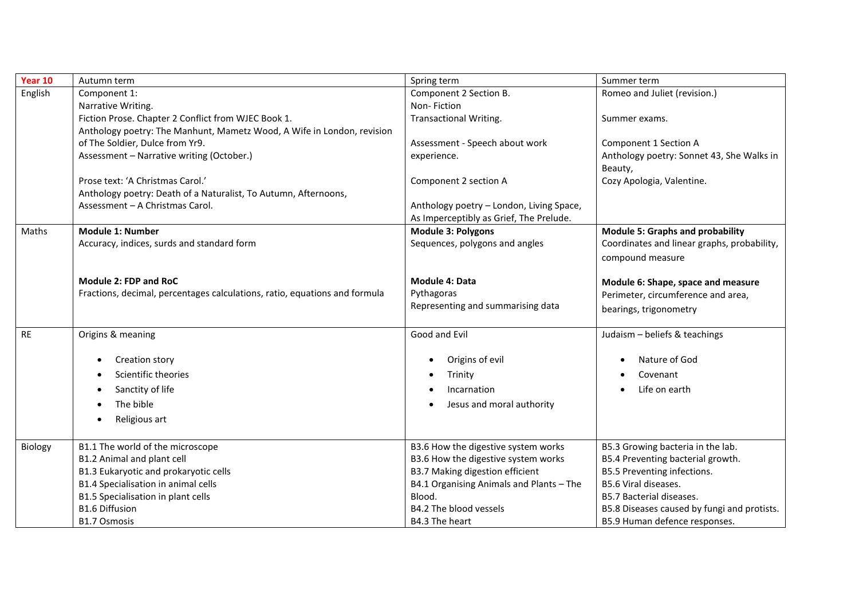| Year 10   | Autumn term                                                                | Spring term                              | Summer term                                 |  |
|-----------|----------------------------------------------------------------------------|------------------------------------------|---------------------------------------------|--|
| English   | Component 1:                                                               | Component 2 Section B.                   | Romeo and Juliet (revision.)                |  |
|           | Narrative Writing.                                                         | Non-Fiction                              |                                             |  |
|           | Fiction Prose. Chapter 2 Conflict from WJEC Book 1.                        | <b>Transactional Writing.</b>            | Summer exams.                               |  |
|           | Anthology poetry: The Manhunt, Mametz Wood, A Wife in London, revision     |                                          |                                             |  |
|           | of The Soldier, Dulce from Yr9.                                            | Assessment - Speech about work           | Component 1 Section A                       |  |
|           | Assessment - Narrative writing (October.)                                  | experience.                              | Anthology poetry: Sonnet 43, She Walks in   |  |
|           |                                                                            |                                          | Beauty,                                     |  |
|           | Prose text: 'A Christmas Carol.'                                           | Component 2 section A                    | Cozy Apologia, Valentine.                   |  |
|           | Anthology poetry: Death of a Naturalist, To Autumn, Afternoons,            |                                          |                                             |  |
|           | Assessment - A Christmas Carol.                                            | Anthology poetry - London, Living Space, |                                             |  |
|           |                                                                            | As Imperceptibly as Grief, The Prelude.  |                                             |  |
| Maths     | <b>Module 1: Number</b>                                                    | <b>Module 3: Polygons</b>                | <b>Module 5: Graphs and probability</b>     |  |
|           | Accuracy, indices, surds and standard form                                 | Sequences, polygons and angles           | Coordinates and linear graphs, probability, |  |
|           |                                                                            |                                          | compound measure                            |  |
|           |                                                                            |                                          |                                             |  |
|           | Module 2: FDP and RoC                                                      | <b>Module 4: Data</b>                    | Module 6: Shape, space and measure          |  |
|           | Fractions, decimal, percentages calculations, ratio, equations and formula | Pythagoras                               | Perimeter, circumference and area,          |  |
|           |                                                                            | Representing and summarising data        | bearings, trigonometry                      |  |
|           |                                                                            |                                          |                                             |  |
| <b>RE</b> | Origins & meaning                                                          | Good and Evil                            | Judaism - beliefs & teachings               |  |
|           |                                                                            |                                          |                                             |  |
|           | Creation story                                                             | Origins of evil                          | Nature of God                               |  |
|           | Scientific theories                                                        | Trinity                                  | Covenant                                    |  |
|           | Sanctity of life                                                           | Incarnation                              | Life on earth                               |  |
|           | The bible                                                                  | Jesus and moral authority                |                                             |  |
|           | Religious art                                                              |                                          |                                             |  |
|           |                                                                            |                                          |                                             |  |
| Biology   | B1.1 The world of the microscope                                           | B3.6 How the digestive system works      | B5.3 Growing bacteria in the lab.           |  |
|           | B1.2 Animal and plant cell                                                 | B3.6 How the digestive system works      | B5.4 Preventing bacterial growth.           |  |
|           | B1.3 Eukaryotic and prokaryotic cells                                      | <b>B3.7 Making digestion efficient</b>   | B5.5 Preventing infections.                 |  |
|           | B1.4 Specialisation in animal cells                                        | B4.1 Organising Animals and Plants - The | B5.6 Viral diseases.                        |  |
|           | B1.5 Specialisation in plant cells                                         | Blood.                                   | B5.7 Bacterial diseases.                    |  |
|           | <b>B1.6 Diffusion</b>                                                      | B4.2 The blood vessels                   | B5.8 Diseases caused by fungi and protists. |  |
|           | B1.7 Osmosis                                                               | B4.3 The heart                           | B5.9 Human defence responses.               |  |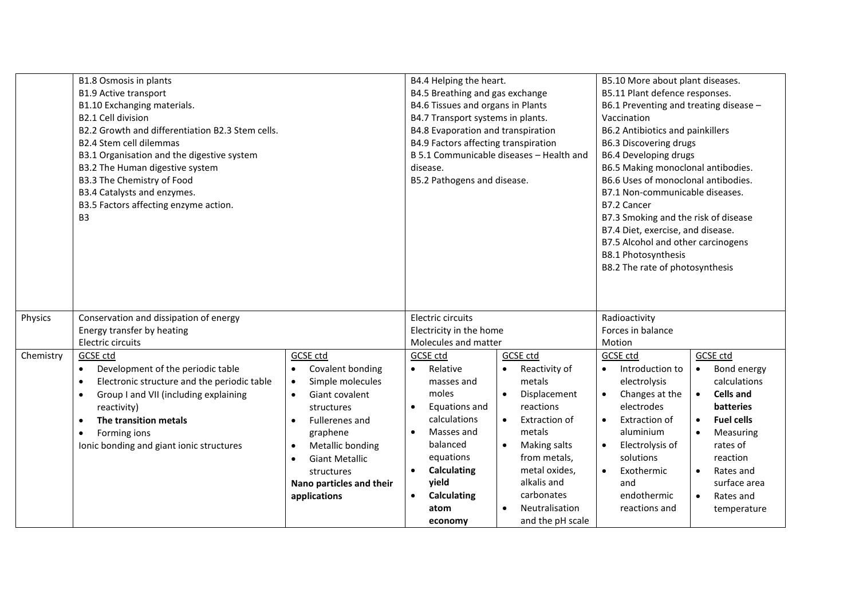|           | B1.8 Osmosis in plants                           |                                    | B4.4 Helping the heart.                  |                       | B5.10 More about plant diseases.       |                                 |  |
|-----------|--------------------------------------------------|------------------------------------|------------------------------------------|-----------------------|----------------------------------------|---------------------------------|--|
|           | <b>B1.9 Active transport</b>                     |                                    | B4.5 Breathing and gas exchange          |                       | B5.11 Plant defence responses.         |                                 |  |
|           | B1.10 Exchanging materials.                      |                                    | B4.6 Tissues and organs in Plants        |                       | B6.1 Preventing and treating disease - |                                 |  |
|           | B2.1 Cell division                               |                                    | B4.7 Transport systems in plants.        |                       | Vaccination                            |                                 |  |
|           | B2.2 Growth and differentiation B2.3 Stem cells. |                                    | B4.8 Evaporation and transpiration       |                       | B6.2 Antibiotics and painkillers       |                                 |  |
|           | <b>B2.4 Stem cell dilemmas</b>                   |                                    | B4.9 Factors affecting transpiration     |                       | <b>B6.3 Discovering drugs</b>          |                                 |  |
|           | B3.1 Organisation and the digestive system       |                                    | B 5.1 Communicable diseases - Health and |                       | <b>B6.4 Developing drugs</b>           |                                 |  |
|           | B3.2 The Human digestive system                  |                                    | disease.                                 |                       | B6.5 Making monoclonal antibodies.     |                                 |  |
|           | B3.3 The Chemistry of Food                       |                                    | B5.2 Pathogens and disease.              |                       | B6.6 Uses of monoclonal antibodies.    |                                 |  |
|           | B3.4 Catalysts and enzymes.                      |                                    |                                          |                       |                                        | B7.1 Non-communicable diseases. |  |
|           | B3.5 Factors affecting enzyme action.            |                                    |                                          |                       | B7.2 Cancer                            |                                 |  |
|           | B <sub>3</sub>                                   |                                    |                                          |                       | B7.3 Smoking and the risk of disease   |                                 |  |
|           |                                                  |                                    |                                          |                       | B7.4 Diet, exercise, and disease.      |                                 |  |
|           |                                                  |                                    |                                          |                       | B7.5 Alcohol and other carcinogens     |                                 |  |
|           |                                                  |                                    |                                          |                       | B8.1 Photosynthesis                    |                                 |  |
|           |                                                  |                                    |                                          |                       | B8.2 The rate of photosynthesis        |                                 |  |
|           |                                                  |                                    |                                          |                       |                                        |                                 |  |
|           |                                                  |                                    |                                          |                       |                                        |                                 |  |
|           |                                                  |                                    |                                          |                       |                                        |                                 |  |
| Physics   | Conservation and dissipation of energy           |                                    | Electric circuits                        |                       | Radioactivity                          |                                 |  |
|           | Energy transfer by heating                       |                                    | Electricity in the home                  |                       | Forces in balance                      |                                 |  |
|           | Electric circuits                                |                                    | Molecules and matter                     |                       | Motion                                 |                                 |  |
| Chemistry | GCSE ctd                                         | GCSE ctd                           | GCSE ctd                                 | GCSE ctd              | <b>GCSE</b> ctd                        | GCSE ctd                        |  |
|           | Development of the periodic table<br>$\bullet$   | Covalent bonding<br>$\bullet$      | Relative<br>$\bullet$                    | Reactivity of         | Introduction to<br>$\bullet$           | Bond energy<br>$\bullet$        |  |
|           | Electronic structure and the periodic table      | Simple molecules<br>$\bullet$      | masses and                               | metals                | electrolysis                           | calculations                    |  |
|           | Group I and VII (including explaining            | Giant covalent<br>$\bullet$        | moles                                    | Displacement          | Changes at the                         | <b>Cells and</b><br>$\bullet$   |  |
|           | reactivity)                                      | structures                         | Equations and                            | reactions             | electrodes                             | <b>batteries</b>                |  |
|           | The transition metals                            | <b>Fullerenes and</b><br>$\bullet$ | calculations                             | Extraction of         | Extraction of<br>$\bullet$             | <b>Fuel cells</b><br>$\bullet$  |  |
|           | Forming ions                                     | graphene                           | Masses and<br>$\bullet$                  | metals                | aluminium                              | Measuring<br>$\bullet$          |  |
|           | Ionic bonding and giant ionic structures         | Metallic bonding<br>$\bullet$      | balanced                                 | Making salts          | Electrolysis of<br>$\bullet$           | rates of                        |  |
|           |                                                  | <b>Giant Metallic</b><br>$\bullet$ | equations                                | from metals,          | solutions                              | reaction                        |  |
|           |                                                  | structures                         | Calculating<br>$\bullet$                 | metal oxides,         | Exothermic<br>$\bullet$                | Rates and<br>$\bullet$          |  |
|           |                                                  | Nano particles and their           | yield                                    | alkalis and           | and                                    | surface area                    |  |
|           |                                                  | applications                       | <b>Calculating</b><br>$\bullet$          | carbonates            | endothermic                            | Rates and<br>$\bullet$          |  |
|           |                                                  |                                    | atom                                     | <b>Neutralisation</b> | reactions and                          | temperature                     |  |
|           |                                                  |                                    | economy                                  | and the pH scale      |                                        |                                 |  |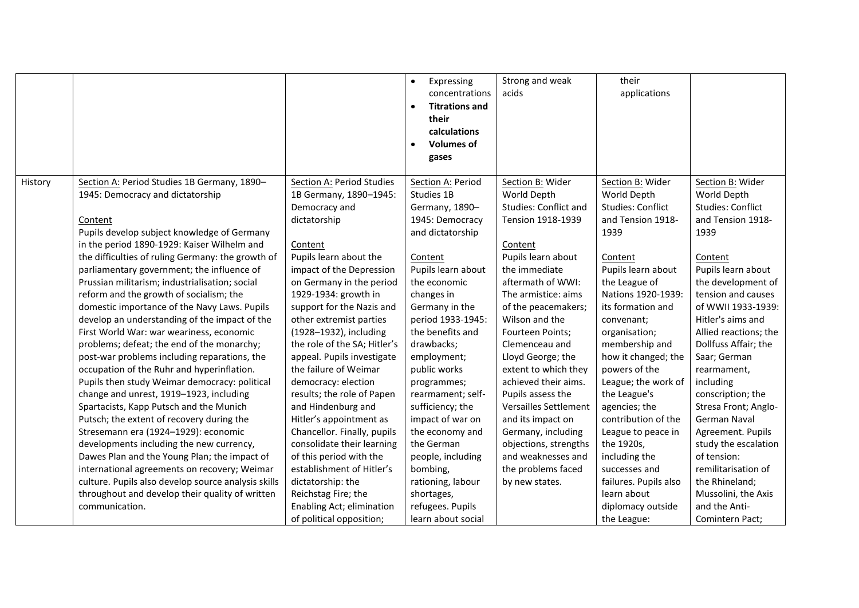|         |                                                     |                              | Expressing<br>$\bullet$            | Strong and weak              | their                    |                          |
|---------|-----------------------------------------------------|------------------------------|------------------------------------|------------------------------|--------------------------|--------------------------|
|         |                                                     |                              | concentrations                     | acids                        | applications             |                          |
|         |                                                     |                              | <b>Titrations and</b><br>$\bullet$ |                              |                          |                          |
|         |                                                     |                              | their                              |                              |                          |                          |
|         |                                                     |                              | calculations                       |                              |                          |                          |
|         |                                                     |                              | <b>Volumes of</b><br>$\bullet$     |                              |                          |                          |
|         |                                                     |                              | gases                              |                              |                          |                          |
|         |                                                     |                              |                                    |                              |                          |                          |
| History | Section A: Period Studies 1B Germany, 1890-         | Section A: Period Studies    | Section A: Period                  | Section B: Wider             | Section B: Wider         | Section B: Wider         |
|         | 1945: Democracy and dictatorship                    | 1B Germany, 1890-1945:       | Studies 1B                         | World Depth                  | World Depth              | World Depth              |
|         |                                                     | Democracy and                | Germany, 1890-                     | <b>Studies: Conflict and</b> | <b>Studies: Conflict</b> | <b>Studies: Conflict</b> |
|         | Content                                             | dictatorship                 | 1945: Democracy                    | Tension 1918-1939            | and Tension 1918-        | and Tension 1918-        |
|         | Pupils develop subject knowledge of Germany         |                              | and dictatorship                   |                              | 1939                     | 1939                     |
|         | in the period 1890-1929: Kaiser Wilhelm and         | Content                      |                                    | Content                      |                          |                          |
|         | the difficulties of ruling Germany: the growth of   | Pupils learn about the       | Content                            | Pupils learn about           | Content                  | Content                  |
|         | parliamentary government; the influence of          | impact of the Depression     | Pupils learn about                 | the immediate                | Pupils learn about       | Pupils learn about       |
|         | Prussian militarism; industrialisation; social      | on Germany in the period     | the economic                       | aftermath of WWI:            | the League of            | the development of       |
|         | reform and the growth of socialism; the             | 1929-1934: growth in         | changes in                         | The armistice: aims          | Nations 1920-1939:       | tension and causes       |
|         | domestic importance of the Navy Laws. Pupils        | support for the Nazis and    | Germany in the                     | of the peacemakers;          | its formation and        | of WWII 1933-1939:       |
|         | develop an understanding of the impact of the       | other extremist parties      | period 1933-1945:                  | Wilson and the               | convenant;               | Hitler's aims and        |
|         | First World War: war weariness, economic            | (1928-1932), including       | the benefits and                   | Fourteen Points;             | organisation;            | Allied reactions; the    |
|         | problems; defeat; the end of the monarchy;          | the role of the SA; Hitler's | drawbacks;                         | Clemenceau and               | membership and           | Dollfuss Affair; the     |
|         | post-war problems including reparations, the        | appeal. Pupils investigate   | employment;                        | Lloyd George; the            | how it changed; the      | Saar; German             |
|         | occupation of the Ruhr and hyperinflation.          | the failure of Weimar        | public works                       | extent to which they         | powers of the            | rearmament,              |
|         | Pupils then study Weimar democracy: political       | democracy: election          | programmes;                        | achieved their aims.         | League; the work of      | including                |
|         | change and unrest, 1919-1923, including             | results; the role of Papen   | rearmament; self-                  | Pupils assess the            | the League's             | conscription; the        |
|         | Spartacists, Kapp Putsch and the Munich             | and Hindenburg and           | sufficiency; the                   | Versailles Settlement        | agencies; the            | Stresa Front; Anglo-     |
|         | Putsch; the extent of recovery during the           | Hitler's appointment as      | impact of war on                   | and its impact on            | contribution of the      | German Naval             |
|         | Stresemann era (1924-1929): economic                | Chancellor. Finally, pupils  | the economy and                    | Germany, including           | League to peace in       | Agreement. Pupils        |
|         | developments including the new currency,            | consolidate their learning   | the German                         | objections, strengths        | the 1920s,               | study the escalation     |
|         | Dawes Plan and the Young Plan; the impact of        | of this period with the      | people, including                  | and weaknesses and           | including the            | of tension:              |
|         | international agreements on recovery; Weimar        | establishment of Hitler's    | bombing,                           | the problems faced           | successes and            | remilitarisation of      |
|         | culture. Pupils also develop source analysis skills | dictatorship: the            | rationing, labour                  | by new states.               | failures. Pupils also    | the Rhineland;           |
|         | throughout and develop their quality of written     | Reichstag Fire; the          | shortages,                         |                              | learn about              | Mussolini, the Axis      |
|         | communication.                                      | Enabling Act; elimination    | refugees. Pupils                   |                              | diplomacy outside        | and the Anti-            |
|         |                                                     | of political opposition;     | learn about social                 |                              | the League:              | Comintern Pact;          |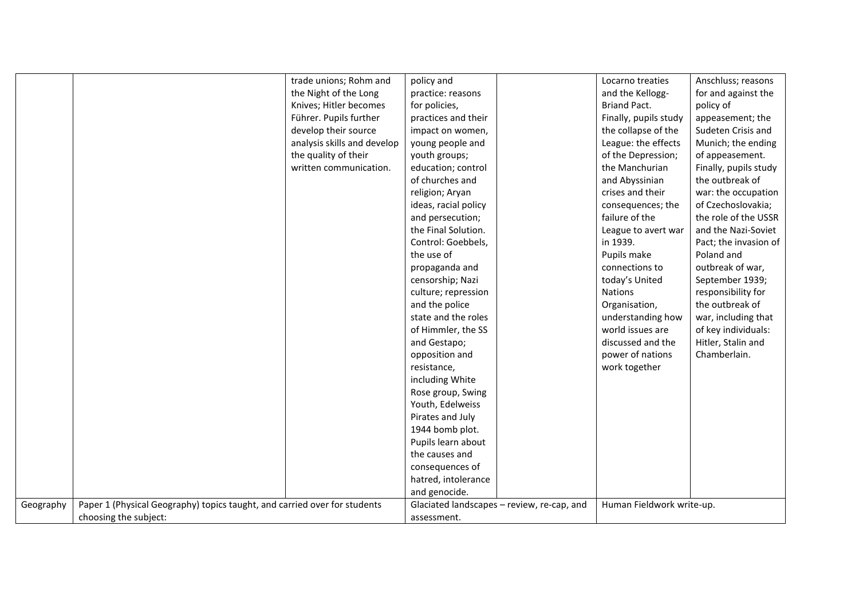|           |                                                                           | trade unions; Rohm and      | policy and           |                                            | Locarno treaties          | Anschluss; reasons    |
|-----------|---------------------------------------------------------------------------|-----------------------------|----------------------|--------------------------------------------|---------------------------|-----------------------|
|           |                                                                           | the Night of the Long       | practice: reasons    |                                            | and the Kellogg-          | for and against the   |
|           |                                                                           | Knives; Hitler becomes      | for policies,        |                                            | <b>Briand Pact.</b>       | policy of             |
|           |                                                                           | Führer. Pupils further      | practices and their  |                                            | Finally, pupils study     | appeasement; the      |
|           |                                                                           | develop their source        | impact on women,     |                                            | the collapse of the       | Sudeten Crisis and    |
|           |                                                                           | analysis skills and develop | young people and     |                                            | League: the effects       | Munich; the ending    |
|           |                                                                           | the quality of their        | youth groups;        |                                            | of the Depression;        | of appeasement.       |
|           |                                                                           | written communication.      | education; control   |                                            | the Manchurian            | Finally, pupils study |
|           |                                                                           |                             | of churches and      |                                            | and Abyssinian            | the outbreak of       |
|           |                                                                           |                             | religion; Aryan      |                                            | crises and their          | war: the occupation   |
|           |                                                                           |                             | ideas, racial policy |                                            | consequences; the         | of Czechoslovakia;    |
|           |                                                                           |                             | and persecution;     |                                            | failure of the            | the role of the USSR  |
|           |                                                                           |                             | the Final Solution.  |                                            | League to avert war       | and the Nazi-Soviet   |
|           |                                                                           |                             | Control: Goebbels,   |                                            | in 1939.                  | Pact; the invasion of |
|           |                                                                           |                             | the use of           |                                            | Pupils make               | Poland and            |
|           |                                                                           |                             | propaganda and       |                                            | connections to            | outbreak of war,      |
|           |                                                                           |                             | censorship; Nazi     |                                            | today's United            | September 1939;       |
|           |                                                                           |                             | culture; repression  |                                            | <b>Nations</b>            | responsibility for    |
|           |                                                                           |                             | and the police       |                                            | Organisation,             | the outbreak of       |
|           |                                                                           |                             | state and the roles  |                                            | understanding how         | war, including that   |
|           |                                                                           |                             | of Himmler, the SS   |                                            | world issues are          | of key individuals:   |
|           |                                                                           |                             | and Gestapo;         |                                            | discussed and the         | Hitler, Stalin and    |
|           |                                                                           |                             | opposition and       |                                            | power of nations          | Chamberlain.          |
|           |                                                                           |                             | resistance,          |                                            | work together             |                       |
|           |                                                                           |                             | including White      |                                            |                           |                       |
|           |                                                                           |                             | Rose group, Swing    |                                            |                           |                       |
|           |                                                                           |                             | Youth, Edelweiss     |                                            |                           |                       |
|           |                                                                           |                             | Pirates and July     |                                            |                           |                       |
|           |                                                                           |                             | 1944 bomb plot.      |                                            |                           |                       |
|           |                                                                           |                             | Pupils learn about   |                                            |                           |                       |
|           |                                                                           |                             | the causes and       |                                            |                           |                       |
|           |                                                                           |                             | consequences of      |                                            |                           |                       |
|           |                                                                           |                             | hatred, intolerance  |                                            |                           |                       |
|           |                                                                           |                             | and genocide.        |                                            |                           |                       |
| Geography | Paper 1 (Physical Geography) topics taught, and carried over for students |                             |                      | Glaciated landscapes - review, re-cap, and | Human Fieldwork write-up. |                       |
|           | choosing the subject:                                                     |                             | assessment.          |                                            |                           |                       |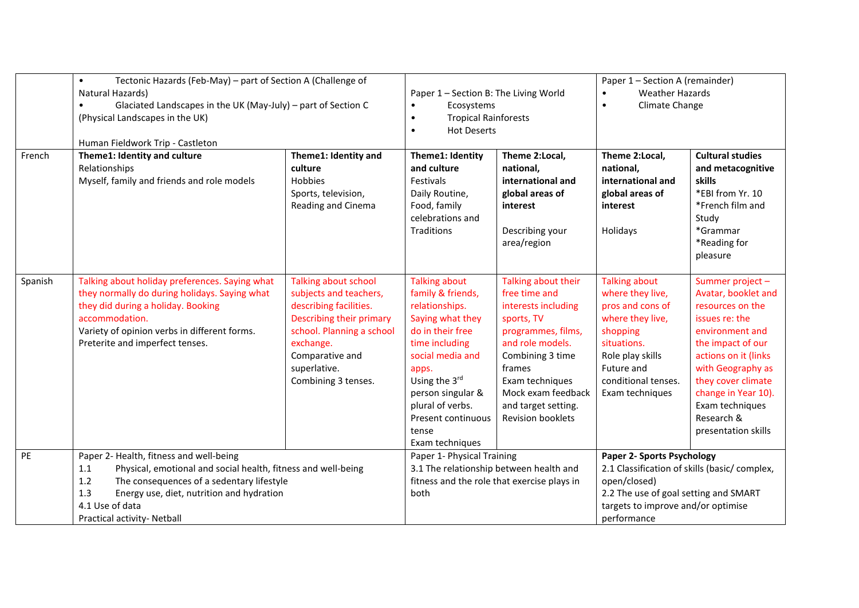|         | Tectonic Hazards (Feb-May) - part of Section A (Challenge of<br>$\bullet$<br>Natural Hazards)<br>Glaciated Landscapes in the UK (May-July) - part of Section C<br>$\bullet$<br>(Physical Landscapes in the UK)<br>Human Fieldwork Trip - Castleton                        |                                                                                                                                                                                                          | Paper 1 - Section B: The Living World<br>Ecosystems<br>$\bullet$<br><b>Tropical Rainforests</b><br>$\bullet$<br><b>Hot Deserts</b><br>$\bullet$                                                                                                                |                                                                                                                                                                                                                                               | Paper 1 - Section A (remainder)<br><b>Weather Hazards</b><br>$\bullet$<br>Climate Change<br>$\bullet$                                                                                    |                                                                                                                                                                                                                                                                          |
|---------|---------------------------------------------------------------------------------------------------------------------------------------------------------------------------------------------------------------------------------------------------------------------------|----------------------------------------------------------------------------------------------------------------------------------------------------------------------------------------------------------|----------------------------------------------------------------------------------------------------------------------------------------------------------------------------------------------------------------------------------------------------------------|-----------------------------------------------------------------------------------------------------------------------------------------------------------------------------------------------------------------------------------------------|------------------------------------------------------------------------------------------------------------------------------------------------------------------------------------------|--------------------------------------------------------------------------------------------------------------------------------------------------------------------------------------------------------------------------------------------------------------------------|
| French  | Theme1: Identity and culture<br>Relationships<br>Myself, family and friends and role models                                                                                                                                                                               | Theme1: Identity and<br>culture<br><b>Hobbies</b><br>Sports, television,<br>Reading and Cinema                                                                                                           | Theme1: Identity<br>and culture<br>Festivals<br>Daily Routine,<br>Food, family<br>celebrations and<br>Traditions                                                                                                                                               | Theme 2:Local,<br>national,<br>international and<br>global areas of<br>interest<br>Describing your<br>area/region                                                                                                                             | Theme 2:Local,<br>national,<br>international and<br>global areas of<br>interest<br>Holidays                                                                                              | <b>Cultural studies</b><br>and metacognitive<br>skills<br>*EBI from Yr. 10<br>*French film and<br>Study<br>*Grammar<br>*Reading for<br>pleasure                                                                                                                          |
| Spanish | Talking about holiday preferences. Saying what<br>they normally do during holidays. Saying what<br>they did during a holiday. Booking<br>accommodation.<br>Variety of opinion verbs in different forms.<br>Preterite and imperfect tenses.                                | Talking about school<br>subjects and teachers,<br>describing facilities.<br>Describing their primary<br>school. Planning a school<br>exchange.<br>Comparative and<br>superlative.<br>Combining 3 tenses. | <b>Talking about</b><br>family & friends,<br>relationships.<br>Saying what they<br>do in their free<br>time including<br>social media and<br>apps.<br>Using the 3rd<br>person singular &<br>plural of verbs.<br>Present continuous<br>tense<br>Exam techniques | Talking about their<br>free time and<br>interests including<br>sports, TV<br>programmes, films,<br>and role models.<br>Combining 3 time<br>frames<br>Exam techniques<br>Mock exam feedback<br>and target setting.<br><b>Revision booklets</b> | <b>Talking about</b><br>where they live,<br>pros and cons of<br>where they live,<br>shopping<br>situations.<br>Role play skills<br>Future and<br>conditional tenses.<br>Exam techniques  | Summer project -<br>Avatar, booklet and<br>resources on the<br>issues re: the<br>environment and<br>the impact of our<br>actions on it (links)<br>with Geography as<br>they cover climate<br>change in Year 10).<br>Exam techniques<br>Research &<br>presentation skills |
| PE      | Paper 2- Health, fitness and well-being<br>Physical, emotional and social health, fitness and well-being<br>1.1<br>The consequences of a sedentary lifestyle<br>1.2<br>1.3<br>Energy use, diet, nutrition and hydration<br>4.1 Use of data<br>Practical activity- Netball |                                                                                                                                                                                                          | Paper 1- Physical Training<br>3.1 The relationship between health and<br>fitness and the role that exercise plays in<br>both                                                                                                                                   |                                                                                                                                                                                                                                               | Paper 2- Sports Psychology<br>2.1 Classification of skills (basic/complex,<br>open/closed)<br>2.2 The use of goal setting and SMART<br>targets to improve and/or optimise<br>performance |                                                                                                                                                                                                                                                                          |